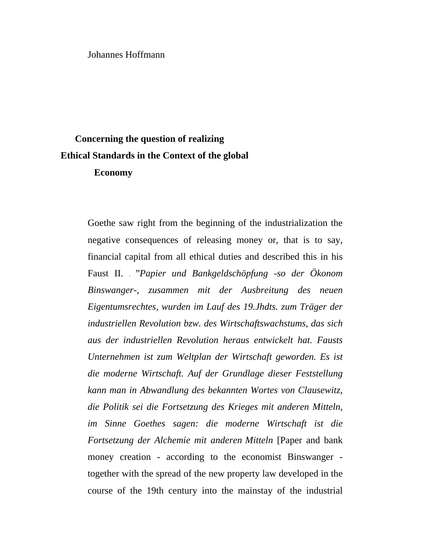Johannes Hoffmann

# **Concerning the question of realizing Ethical Standards in the Context of the global**

### **Economy**

Goethe saw right from the beginning of the industrialization the negative consequences of releasing money or, that is to say, financial capital from all ethical duties and described this in his Faust II. . "*Papier und Bankgeldschöpfung -so der Ökonom Binswanger-, zusammen mit der Ausbreitung des neuen Eigentumsrechtes, wurden im Lauf des 19.Jhdts. zum Träger der industriellen Revolution bzw. des Wirtschaftswachstums, das sich aus der industriellen Revolution heraus entwickelt hat. Fausts Unternehmen ist zum Weltplan der Wirtschaft geworden. Es ist die moderne Wirtschaft. Auf der Grundlage dieser Feststellung kann man in Abwandlung des bekannten Wortes von Clausewitz, die Politik sei die Fortsetzung des Krieges mit anderen Mitteln, im Sinne Goethes sagen: die moderne Wirtschaft ist die Fortsetzung der Alchemie mit anderen Mitteln* [Paper and bank money creation - according to the economist Binswanger together with the spread of the new property law developed in the course of the 19th century into the mainstay of the industrial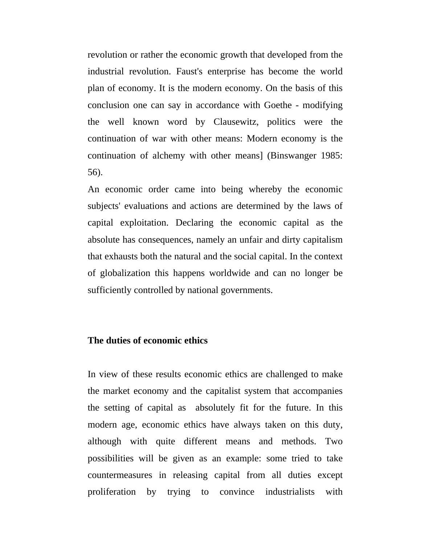revolution or rather the economic growth that developed from the industrial revolution. Faust's enterprise has become the world plan of economy. It is the modern economy. On the basis of this conclusion one can say in accordance with Goethe - modifying the well known word by Clausewitz, politics were the continuation of war with other means: Modern economy is the continuation of alchemy with other means] (Binswanger 1985: 56).

An economic order came into being whereby the economic subjects' evaluations and actions are determined by the laws of capital exploitation. Declaring the economic capital as the absolute has consequences, namely an unfair and dirty capitalism that exhausts both the natural and the social capital. In the context of globalization this happens worldwide and can no longer be sufficiently controlled by national governments.

# **The duties of economic ethics**

In view of these results economic ethics are challenged to make the market economy and the capitalist system that accompanies the setting of capital as absolutely fit for the future. In this modern age, economic ethics have always taken on this duty, although with quite different means and methods. Two possibilities will be given as an example: some tried to take countermeasures in releasing capital from all duties except proliferation by trying to convince industrialists with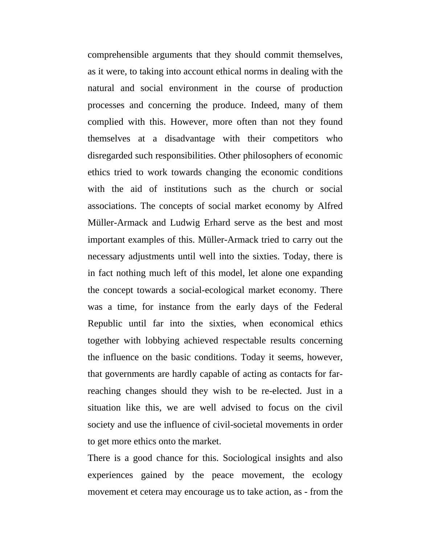comprehensible arguments that they should commit themselves, as it were, to taking into account ethical norms in dealing with the natural and social environment in the course of production processes and concerning the produce. Indeed, many of them complied with this. However, more often than not they found themselves at a disadvantage with their competitors who disregarded such responsibilities. Other philosophers of economic ethics tried to work towards changing the economic conditions with the aid of institutions such as the church or social associations. The concepts of social market economy by Alfred Müller-Armack and Ludwig Erhard serve as the best and most important examples of this. Müller-Armack tried to carry out the necessary adjustments until well into the sixties. Today, there is in fact nothing much left of this model, let alone one expanding the concept towards a social-ecological market economy. There was a time, for instance from the early days of the Federal Republic until far into the sixties, when economical ethics together with lobbying achieved respectable results concerning the influence on the basic conditions. Today it seems, however, that governments are hardly capable of acting as contacts for farreaching changes should they wish to be re-elected. Just in a situation like this, we are well advised to focus on the civil society and use the influence of civil-societal movements in order to get more ethics onto the market.

There is a good chance for this. Sociological insights and also experiences gained by the peace movement, the ecology movement et cetera may encourage us to take action, as - from the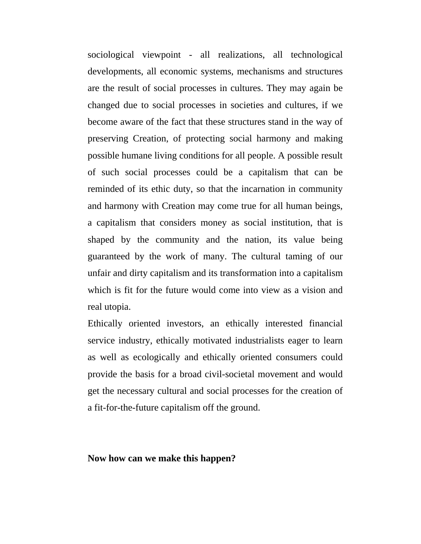sociological viewpoint - all realizations, all technological developments, all economic systems, mechanisms and structures are the result of social processes in cultures. They may again be changed due to social processes in societies and cultures, if we become aware of the fact that these structures stand in the way of preserving Creation, of protecting social harmony and making possible humane living conditions for all people. A possible result of such social processes could be a capitalism that can be reminded of its ethic duty, so that the incarnation in community and harmony with Creation may come true for all human beings, a capitalism that considers money as social institution, that is shaped by the community and the nation, its value being guaranteed by the work of many. The cultural taming of our unfair and dirty capitalism and its transformation into a capitalism which is fit for the future would come into view as a vision and real utopia.

Ethically oriented investors, an ethically interested financial service industry, ethically motivated industrialists eager to learn as well as ecologically and ethically oriented consumers could provide the basis for a broad civil-societal movement and would get the necessary cultural and social processes for the creation of a fit-for-the-future capitalism off the ground.

# **Now how can we make this happen?**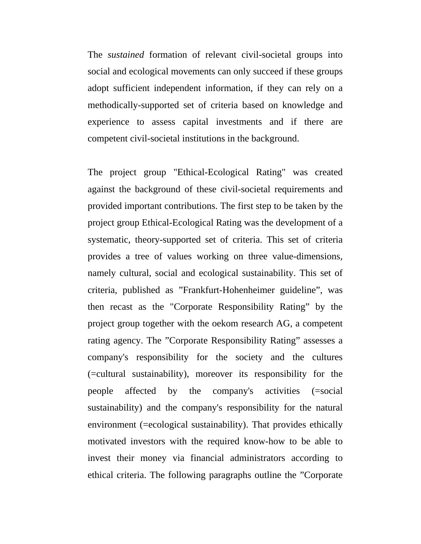The *sustained* formation of relevant civil-societal groups into social and ecological movements can only succeed if these groups adopt sufficient independent information, if they can rely on a methodically-supported set of criteria based on knowledge and experience to assess capital investments and if there are competent civil-societal institutions in the background.

The project group "Ethical-Ecological Rating" was created against the background of these civil-societal requirements and provided important contributions. The first step to be taken by the project group Ethical-Ecological Rating was the development of a systematic, theory-supported set of criteria. This set of criteria provides a tree of values working on three value-dimensions, namely cultural, social and ecological sustainability. This set of criteria, published as "Frankfurt-Hohenheimer guideline", was then recast as the "Corporate Responsibility Rating" by the project group together with the oekom research AG, a competent rating agency. The "Corporate Responsibility Rating" assesses a company's responsibility for the society and the cultures (=cultural sustainability), moreover its responsibility for the people affected by the company's activities (=social sustainability) and the company's responsibility for the natural environment (=ecological sustainability). That provides ethically motivated investors with the required know-how to be able to invest their money via financial administrators according to ethical criteria. The following paragraphs outline the "Corporate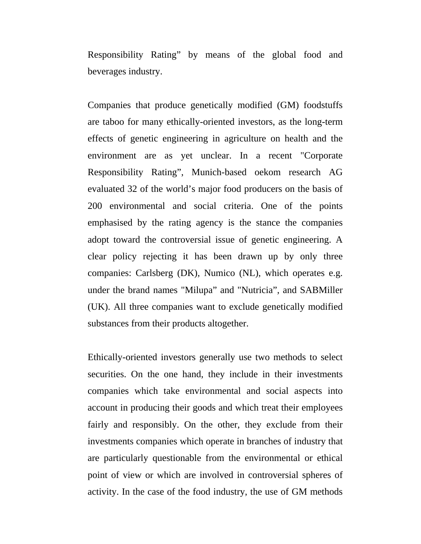Responsibility Rating" by means of the global food and beverages industry.

Companies that produce genetically modified (GM) foodstuffs are taboo for many ethically-oriented investors, as the long-term effects of genetic engineering in agriculture on health and the environment are as yet unclear. In a recent "Corporate Responsibility Rating", Munich-based oekom research AG evaluated 32 of the world's major food producers on the basis of 200 environmental and social criteria. One of the points emphasised by the rating agency is the stance the companies adopt toward the controversial issue of genetic engineering. A clear policy rejecting it has been drawn up by only three companies: Carlsberg (DK), Numico (NL), which operates e.g. under the brand names "Milupa" and "Nutricia", and SABMiller (UK). All three companies want to exclude genetically modified substances from their products altogether.

Ethically-oriented investors generally use two methods to select securities. On the one hand, they include in their investments companies which take environmental and social aspects into account in producing their goods and which treat their employees fairly and responsibly. On the other, they exclude from their investments companies which operate in branches of industry that are particularly questionable from the environmental or ethical point of view or which are involved in controversial spheres of activity. In the case of the food industry, the use of GM methods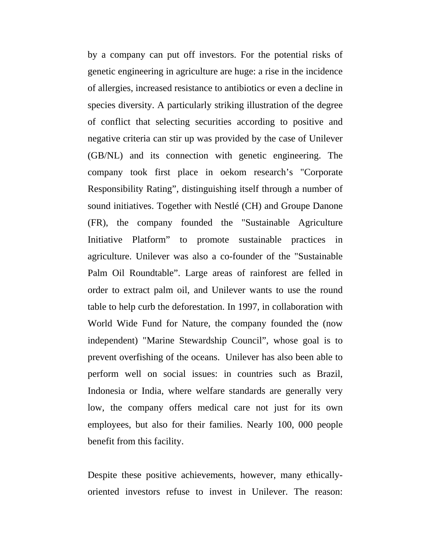by a company can put off investors. For the potential risks of genetic engineering in agriculture are huge: a rise in the incidence of allergies, increased resistance to antibiotics or even a decline in species diversity. A particularly striking illustration of the degree of conflict that selecting securities according to positive and negative criteria can stir up was provided by the case of Unilever (GB/NL) and its connection with genetic engineering. The company took first place in oekom research's "Corporate Responsibility Rating", distinguishing itself through a number of sound initiatives. Together with Nestlé (CH) and Groupe Danone (FR), the company founded the "Sustainable Agriculture Initiative Platform" to promote sustainable practices in agriculture. Unilever was also a co-founder of the "Sustainable Palm Oil Roundtable". Large areas of rainforest are felled in order to extract palm oil, and Unilever wants to use the round table to help curb the deforestation. In 1997, in collaboration with World Wide Fund for Nature, the company founded the (now independent) "Marine Stewardship Council", whose goal is to prevent overfishing of the oceans. Unilever has also been able to perform well on social issues: in countries such as Brazil, Indonesia or India, where welfare standards are generally very low, the company offers medical care not just for its own employees, but also for their families. Nearly 100, 000 people benefit from this facility.

Despite these positive achievements, however, many ethicallyoriented investors refuse to invest in Unilever. The reason: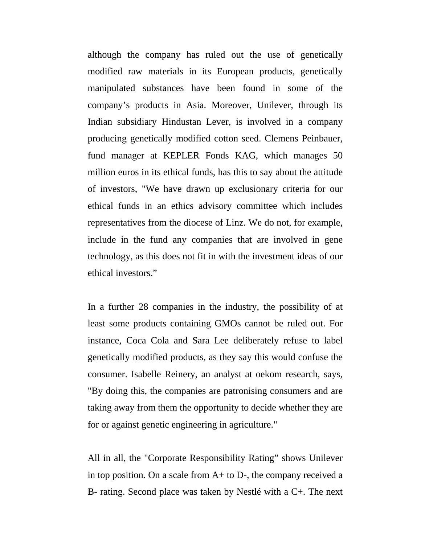although the company has ruled out the use of genetically modified raw materials in its European products, genetically manipulated substances have been found in some of the company's products in Asia. Moreover, Unilever, through its Indian subsidiary Hindustan Lever, is involved in a company producing genetically modified cotton seed. Clemens Peinbauer, fund manager at KEPLER Fonds KAG, which manages 50 million euros in its ethical funds, has this to say about the attitude of investors, "We have drawn up exclusionary criteria for our ethical funds in an ethics advisory committee which includes representatives from the diocese of Linz. We do not, for example, include in the fund any companies that are involved in gene technology, as this does not fit in with the investment ideas of our ethical investors."

In a further 28 companies in the industry, the possibility of at least some products containing GMOs cannot be ruled out. For instance, Coca Cola and Sara Lee deliberately refuse to label genetically modified products, as they say this would confuse the consumer. Isabelle Reinery, an analyst at oekom research, says, "By doing this, the companies are patronising consumers and are taking away from them the opportunity to decide whether they are for or against genetic engineering in agriculture."

All in all, the "Corporate Responsibility Rating" shows Unilever in top position. On a scale from A+ to D-, the company received a B- rating. Second place was taken by Nestlé with a C+. The next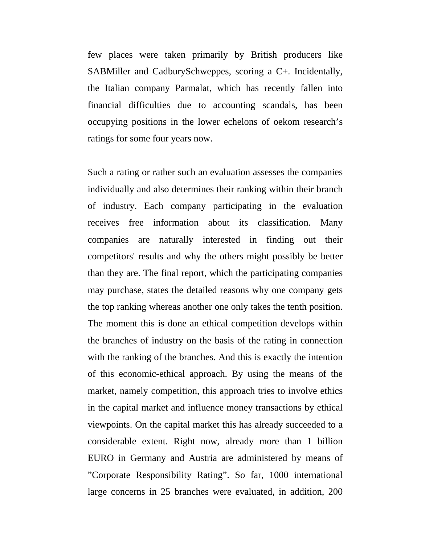few places were taken primarily by British producers like SABMiller and CadburySchweppes, scoring a C+. Incidentally, the Italian company Parmalat, which has recently fallen into financial difficulties due to accounting scandals, has been occupying positions in the lower echelons of oekom research's ratings for some four years now.

Such a rating or rather such an evaluation assesses the companies individually and also determines their ranking within their branch of industry. Each company participating in the evaluation receives free information about its classification. Many companies are naturally interested in finding out their competitors' results and why the others might possibly be better than they are. The final report, which the participating companies may purchase, states the detailed reasons why one company gets the top ranking whereas another one only takes the tenth position. The moment this is done an ethical competition develops within the branches of industry on the basis of the rating in connection with the ranking of the branches. And this is exactly the intention of this economic-ethical approach. By using the means of the market, namely competition, this approach tries to involve ethics in the capital market and influence money transactions by ethical viewpoints. On the capital market this has already succeeded to a considerable extent. Right now, already more than 1 billion EURO in Germany and Austria are administered by means of "Corporate Responsibility Rating". So far, 1000 international large concerns in 25 branches were evaluated, in addition, 200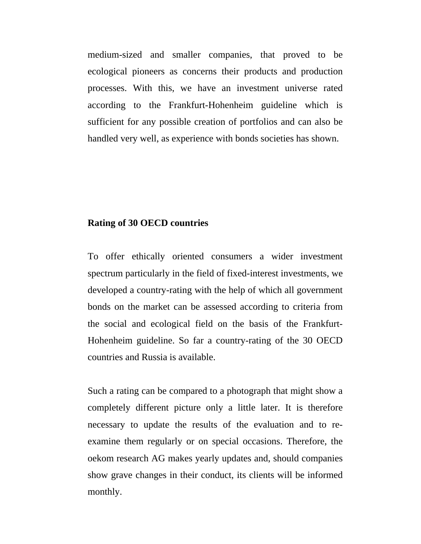medium-sized and smaller companies, that proved to be ecological pioneers as concerns their products and production processes. With this, we have an investment universe rated according to the Frankfurt-Hohenheim guideline which is sufficient for any possible creation of portfolios and can also be handled very well, as experience with bonds societies has shown.

# **Rating of 30 OECD countries**

To offer ethically oriented consumers a wider investment spectrum particularly in the field of fixed-interest investments, we developed a country-rating with the help of which all government bonds on the market can be assessed according to criteria from the social and ecological field on the basis of the Frankfurt-Hohenheim guideline. So far a country-rating of the 30 OECD countries and Russia is available.

Such a rating can be compared to a photograph that might show a completely different picture only a little later. It is therefore necessary to update the results of the evaluation and to reexamine them regularly or on special occasions. Therefore, the oekom research AG makes yearly updates and, should companies show grave changes in their conduct, its clients will be informed monthly.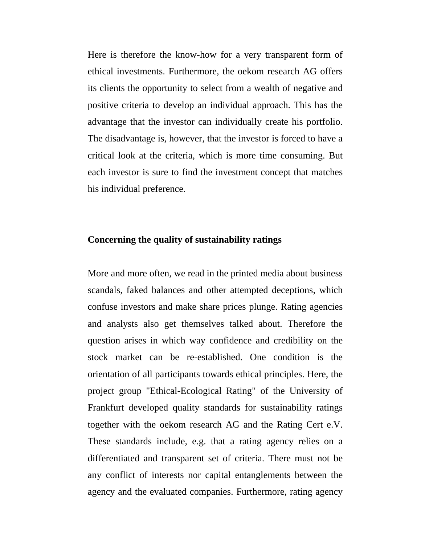Here is therefore the know-how for a very transparent form of ethical investments. Furthermore, the oekom research AG offers its clients the opportunity to select from a wealth of negative and positive criteria to develop an individual approach. This has the advantage that the investor can individually create his portfolio. The disadvantage is, however, that the investor is forced to have a critical look at the criteria, which is more time consuming. But each investor is sure to find the investment concept that matches his individual preference.

## **Concerning the quality of sustainability ratings**

More and more often, we read in the printed media about business scandals, faked balances and other attempted deceptions, which confuse investors and make share prices plunge. Rating agencies and analysts also get themselves talked about. Therefore the question arises in which way confidence and credibility on the stock market can be re-established. One condition is the orientation of all participants towards ethical principles. Here, the project group "Ethical-Ecological Rating" of the University of Frankfurt developed quality standards for sustainability ratings together with the oekom research AG and the Rating Cert e.V. These standards include, e.g. that a rating agency relies on a differentiated and transparent set of criteria. There must not be any conflict of interests nor capital entanglements between the agency and the evaluated companies. Furthermore, rating agency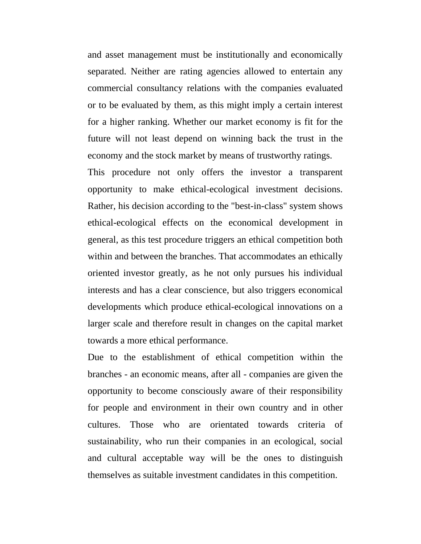and asset management must be institutionally and economically separated. Neither are rating agencies allowed to entertain any commercial consultancy relations with the companies evaluated or to be evaluated by them, as this might imply a certain interest for a higher ranking. Whether our market economy is fit for the future will not least depend on winning back the trust in the economy and the stock market by means of trustworthy ratings.

This procedure not only offers the investor a transparent opportunity to make ethical-ecological investment decisions. Rather, his decision according to the "best-in-class" system shows ethical-ecological effects on the economical development in general, as this test procedure triggers an ethical competition both within and between the branches. That accommodates an ethically oriented investor greatly, as he not only pursues his individual interests and has a clear conscience, but also triggers economical developments which produce ethical-ecological innovations on a larger scale and therefore result in changes on the capital market towards a more ethical performance.

Due to the establishment of ethical competition within the branches - an economic means, after all - companies are given the opportunity to become consciously aware of their responsibility for people and environment in their own country and in other cultures. Those who are orientated towards criteria of sustainability, who run their companies in an ecological, social and cultural acceptable way will be the ones to distinguish themselves as suitable investment candidates in this competition.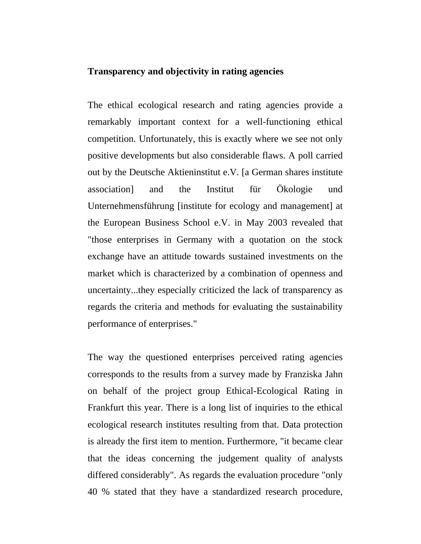## **Transparency and objectivity in rating agencies**

The ethical ecological research and rating agencies provide a remarkably important context for a well-functioning ethical competition. Unfortunately, this is exactly where we see not only positive developments but also considerable flaws. A poll carried out by the Deutsche Aktieninstitut e.V. [a German shares institute association] and the Institut für Ökologie und Unternehmensführung [institute for ecology and management] at the European Business School e.V. in May 2003 revealed that "those enterprises in Germany with a quotation on the stock exchange have an attitude towards sustained investments on the market which is characterized by a combination of openness and uncertainty...they especially criticized the lack of transparency as regards the criteria and methods for evaluating the sustainability performance of enterprises."

The way the questioned enterprises perceived rating agencies corresponds to the results from a survey made by Franziska Jahn on behalf of the project group Ethical-Ecological Rating in Frankfurt this year. There is a long list of inquiries to the ethical ecological research institutes resulting from that. Data protection is already the first item to mention. Furthermore, "it became clear that the ideas concerning the judgement quality of analysts differed considerably". As regards the evaluation procedure "only 40 % stated that they have a standardized research procedure,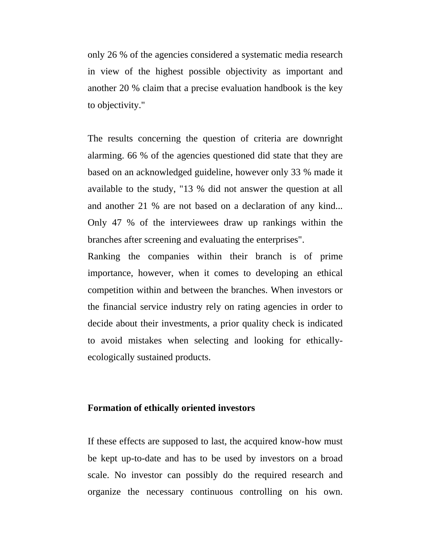only 26 % of the agencies considered a systematic media research in view of the highest possible objectivity as important and another 20 % claim that a precise evaluation handbook is the key to objectivity."

The results concerning the question of criteria are downright alarming. 66 % of the agencies questioned did state that they are based on an acknowledged guideline, however only 33 % made it available to the study, "13 % did not answer the question at all and another 21 % are not based on a declaration of any kind... Only 47 % of the interviewees draw up rankings within the branches after screening and evaluating the enterprises".

Ranking the companies within their branch is of prime importance, however, when it comes to developing an ethical competition within and between the branches. When investors or the financial service industry rely on rating agencies in order to decide about their investments, a prior quality check is indicated to avoid mistakes when selecting and looking for ethicallyecologically sustained products.

### **Formation of ethically oriented investors**

If these effects are supposed to last, the acquired know-how must be kept up-to-date and has to be used by investors on a broad scale. No investor can possibly do the required research and organize the necessary continuous controlling on his own.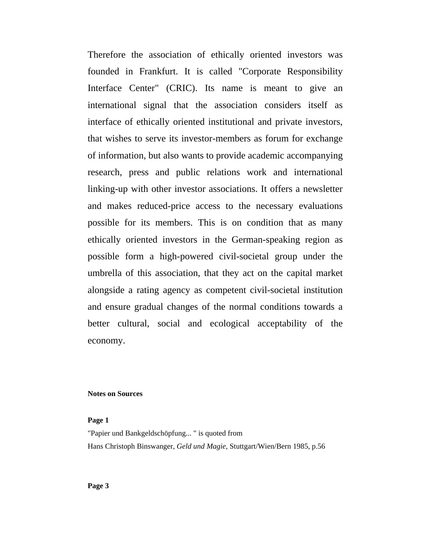Therefore the association of ethically oriented investors was founded in Frankfurt. It is called "Corporate Responsibility Interface Center" (CRIC). Its name is meant to give an international signal that the association considers itself as interface of ethically oriented institutional and private investors, that wishes to serve its investor-members as forum for exchange of information, but also wants to provide academic accompanying research, press and public relations work and international linking-up with other investor associations. It offers a newsletter and makes reduced-price access to the necessary evaluations possible for its members. This is on condition that as many ethically oriented investors in the German-speaking region as possible form a high-powered civil-societal group under the umbrella of this association, that they act on the capital market alongside a rating agency as competent civil-societal institution and ensure gradual changes of the normal conditions towards a better cultural, social and ecological acceptability of the economy.

#### **Notes on Sources**

#### **Page 1**

"Papier und Bankgeldschöpfung... " is quoted from Hans Christoph Binswanger, *Geld und Magie*, Stuttgart/Wien/Bern 1985, p.56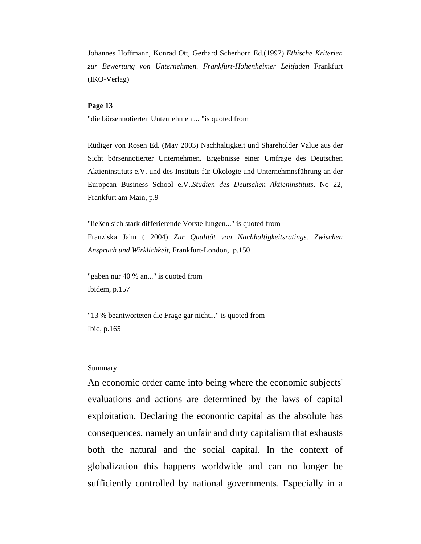Johannes Hoffmann, Konrad Ott, Gerhard Scherhorn Ed.(1997) *Ethische Kriterien zur Bewertung von Unternehmen. Frankfurt-Hohenheimer Leitfaden* Frankfurt (IKO-Verlag)

#### **Page 13**

"die börsennotierten Unternehmen ... "is quoted from

Rüdiger von Rosen Ed. (May 2003) Nachhaltigkeit und Shareholder Value aus der Sicht börsennotierter Unternehmen. Ergebnisse einer Umfrage des Deutschen Aktieninstituts e.V. und des Instituts für Ökologie und Unternehmnsführung an der European Business School e.V.,*Studien des Deutschen Aktieninstituts*, No 22, Frankfurt am Main, p.9

"ließen sich stark differierende Vorstellungen..." is quoted from Franziska Jahn ( 2004) *Zur Qualität von Nachhaltigkeitsratings. Zwischen Anspruch und Wirklichkeit,* Frankfurt-London, p.150

"gaben nur 40 % an..." is quoted from Ibidem, p.157

"13 % beantworteten die Frage gar nicht..." is quoted from Ibid, p.165

#### Summary

An economic order came into being where the economic subjects' evaluations and actions are determined by the laws of capital exploitation. Declaring the economic capital as the absolute has consequences, namely an unfair and dirty capitalism that exhausts both the natural and the social capital. In the context of globalization this happens worldwide and can no longer be sufficiently controlled by national governments. Especially in a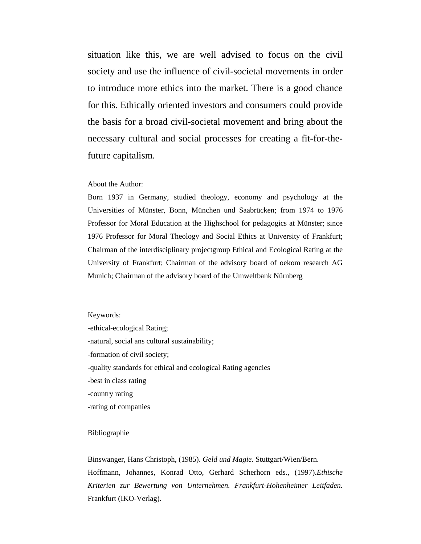situation like this, we are well advised to focus on the civil society and use the influence of civil-societal movements in order to introduce more ethics into the market. There is a good chance for this. Ethically oriented investors and consumers could provide the basis for a broad civil-societal movement and bring about the necessary cultural and social processes for creating a fit-for-thefuture capitalism.

#### About the Author:

Born 1937 in Germany, studied theology, economy and psychology at the Universities of Münster, Bonn, München und Saabrücken; from 1974 to 1976 Professor for Moral Education at the Highschool for pedagogics at Münster; since 1976 Professor for Moral Theology and Social Ethics at University of Frankfurt; Chairman of the interdisciplinary projectgroup Ethical and Ecological Rating at the University of Frankfurt; Chairman of the advisory board of oekom research AG Munich; Chairman of the advisory board of the Umweltbank Nürnberg

#### Keywords:

-ethical-ecological Rating; -natural, social ans cultural sustainability; -formation of civil society; -quality standards for ethical and ecological Rating agencies -best in class rating -country rating -rating of companies

#### Bibliographie

Binswanger, Hans Christoph, (1985). *Geld und Magie.* Stuttgart/Wien/Bern. Hoffmann, Johannes, Konrad Otto, Gerhard Scherhorn eds., (1997).*Ethische Kriterien zur Bewertung von Unternehmen. Frankfurt-Hohenheimer Leitfaden.*  Frankfurt (IKO-Verlag).